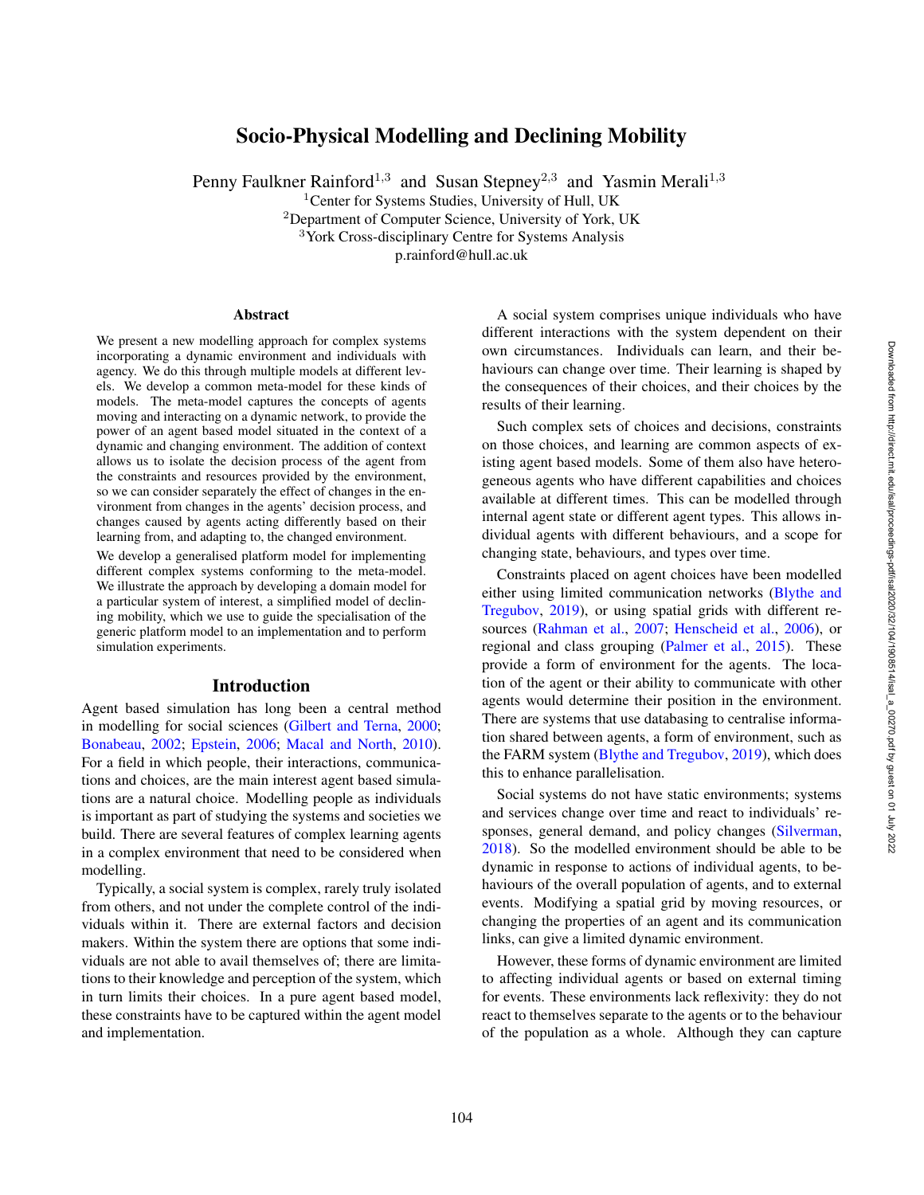# Socio-Physical Modelling and Declining Mobility

Penny Faulkner Rainford<sup>1,3</sup> and Susan Stepney<sup>2,3</sup> and Yasmin Merali<sup>1,3</sup>

<sup>1</sup>Center for Systems Studies, University of Hull, UK

<sup>2</sup>Department of Computer Science, University of York, UK

<sup>3</sup>York Cross-disciplinary Centre for Systems Analysis

p.rainford@hull.ac.uk

### Abstract

We present a new modelling approach for complex systems incorporating a dynamic environment and individuals with agency. We do this through multiple models at different levels. We develop a common meta-model for these kinds of models. The meta-model captures the concepts of agents moving and interacting on a dynamic network, to provide the power of an agent based model situated in the context of a dynamic and changing environment. The addition of context allows us to isolate the decision process of the agent from the constraints and resources provided by the environment, so we can consider separately the effect of changes in the environment from changes in the agents' decision process, and changes caused by agents acting differently based on their learning from, and adapting to, the changed environment.

We develop a generalised platform model for implementing different complex systems conforming to the meta-model. We illustrate the approach by developing a domain model for a particular system of interest, a simplified model of declining mobility, which we use to guide the specialisation of the generic platform model to an implementation and to perform simulation experiments.

## Introduction

Agent based simulation has long been a central method in modelling for social sciences (Gilbert and Terna, 2000; Bonabeau, 2002; Epstein, 2006; Macal and North, 2010). For a field in which people, their interactions, communications and choices, are the main interest agent based simulations are a natural choice. Modelling people as individuals is important as part of studying the systems and societies we build. There are several features of complex learning agents in a complex environment that need to be considered when modelling.

Typically, a social system is complex, rarely truly isolated from others, and not under the complete control of the individuals within it. There are external factors and decision makers. Within the system there are options that some individuals are not able to avail themselves of; there are limitations to their knowledge and perception of the system, which in turn limits their choices. In a pure agent based model, these constraints have to be captured within the agent model and implementation.

A social system comprises unique individuals who have different interactions with the system dependent on their own circumstances. Individuals can learn, and their behaviours can change over time. Their learning is shaped by the consequences of their choices, and their choices by the results of their learning.

Such complex sets of choices and decisions, constraints on those choices, and learning are common aspects of existing agent based models. Some of them also have heterogeneous agents who have different capabilities and choices available at different times. This can be modelled through internal agent state or different agent types. This allows individual agents with different behaviours, and a scope for changing state, behaviours, and types over time.

Constraints placed on agent choices have been modelled either using limited communication networks (Blythe and Tregubov , 2019), or using spatial grids with different resources (Rahman et al., 2007; Henscheid et al., 2006), or regional and class grouping (Palmer et al., 2015). These provide a form of environment for the agents. The location of the agent or their ability to communicate with other agents would determine their position in the environment. There are systems that use databasing to centralise information shared between agents, a form of environment, such as the FARM system (Blythe and Tregubov, 2019), which does this to enhance parallelisation.

Social systems do not have static environments; systems and services change over time and react to individuals' responses, general demand, and policy changes (Silverman, 2018). So the modelled environment should be able to be dynamic in response to actions of individual agents, to behaviours of the overall population of agents, and to external events. Modifying a spatial grid by moving resources, or changing the properties of an agent and its communication links, can give a limited dynamic environment.

However, these forms of dynamic environment are limited to affecting individual agents or based on external timing for events. These environments lack reflexivity: they do not react to themselves separate to the agents or to the behaviour of the population as a whole. Although they can capture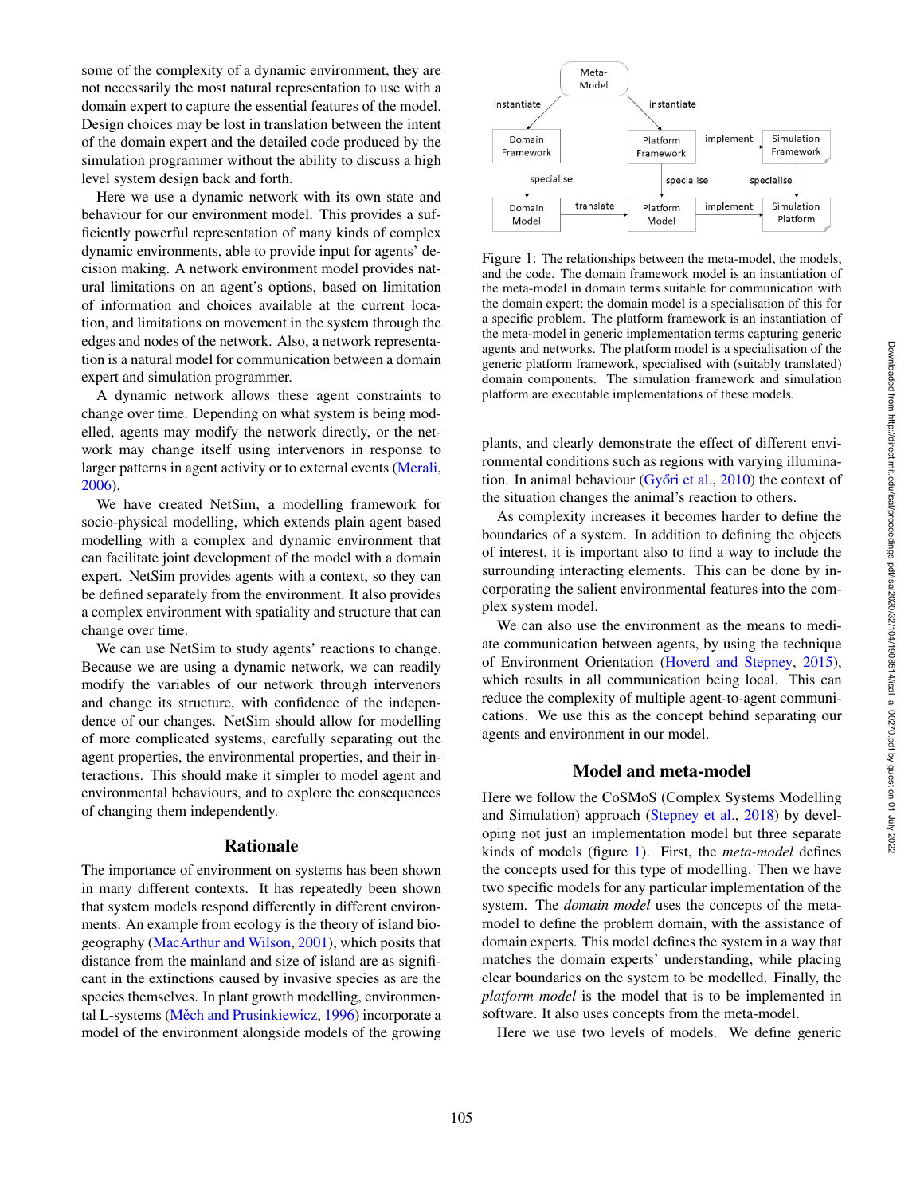some of the complexity of a dynamic environment, they are not necessarily the most natural representation to use with a domain expert to capture the essential features of the model. Design choices may be lost in translation between the intent of the domain expert and the detailed code produced by the simulation programmer without the ability to discuss a high level system design back and forth.

Here we use a dynamic network with its own state and behaviour for our environment model. This provides a sufficiently powerful representation of many kinds of complex dynamic environments, able to provide input for agents' decision making. A network environment model provides natural limitations on an agent's options, based on limitation of information and choices available at the current location, and limitations on movement in the system through the edges and nodes of the network. Also, a network representation is a natural model for communication between a domain expert and simulation programmer.

A dynamic network allows these agent constraints to change over time. Depending on what system is being modelled, agents may modify the network directly, or the network may change itself using intervenors in response to larger patterns in agent activity or to external events (Merali, 2006).

We have created NetSim, a modelling framework for socio-physical modelling, which extends plain agent based modelling with a complex and dynamic environment that can facilitate joint development of the model with a domain expert. NetSim provides agents with a context, so they can be defined separately from the environment. It also provides a complex environment with spatiality and structure that can change over time.

We can use NetSim to study agents' reactions to change. Because we are using a dynamic network, we can readily modify the variables of our network through intervenors and change its structure, with confidence of the independence of our changes. NetSim should allow for modelling of more complicated systems, carefully separating out the agent properties, the environmental properties, and their interactions. This should make it simpler to model agent and environmental behaviours, and to explore the consequences of changing them independently.

# Rationale

The importance of environment on systems has been shown in many different contexts. It has repeatedly been shown that system models respond differently in different environments. An example from ecology is the theory of island biogeography (MacArthur and Wilson, 2001), which posits that distance from the mainland and size of island are as significant in the extinctions caused by invasive species as are the species themselves. In plant growth modelling, environmental L-systems (Měch and Prusinkiewicz, 1996) incorporate a model of the environment alongside models of the growing



Figure 1: The relationships between the meta-model, the models, and the code. The domain framework model is an instantiation of the meta-model in domain terms suitable for communication with the domain expert; the domain model is a specialisation of this for a specific problem. The platform framework is an instantiation of the meta-model in generic implementation terms capturing generic agents and networks. The platform model is a specialisation of the generic platform framework, specialised with (suitably translated) domain components. The simulation framework and simulation platform are executable implementations of these models.

plants, and clearly demonstrate the effect of different environmental conditions such as regions with varying illumination. In animal behaviour (Győri et al., 2010) the context of the situation changes the animal's reaction to others.

As complexity increases it becomes harder to define the boundaries of a system. In addition to defining the objects of interest, it is important also to find a way to include the surrounding interacting elements. This can be done by incorporating the salient environmental features into the complex system model.

We can also use the environment as the means to mediate communication between agents, by using the technique of Environment Orientation (Hoverd and Stepney , 2015), which results in all communication being local. This can reduce the complexity of multiple agent-to-agent communications. We use this as the concept behind separating our agents and environment in our model.

# Model and meta-model

Here we follow the CoSMoS (Complex Systems Modelling and Simulation) approach (Stepney et al., 2018) by developing not just an implementation model but three separate kinds of models (figure 1). First, the *meta-model* defines the concepts used for this type of modelling. Then we have two specific models for any particular implementation of the system. The *domain model* uses the concepts of the metamodel to define the problem domain, with the assistance of domain experts. This model defines the system in a way that matches the domain experts' understanding, while placing clear boundaries on the system to be modelled. Finally, the *platform model* is the model that is to be implemented in software. It also uses concepts from the meta-model.

Here we use two levels of models. We define generic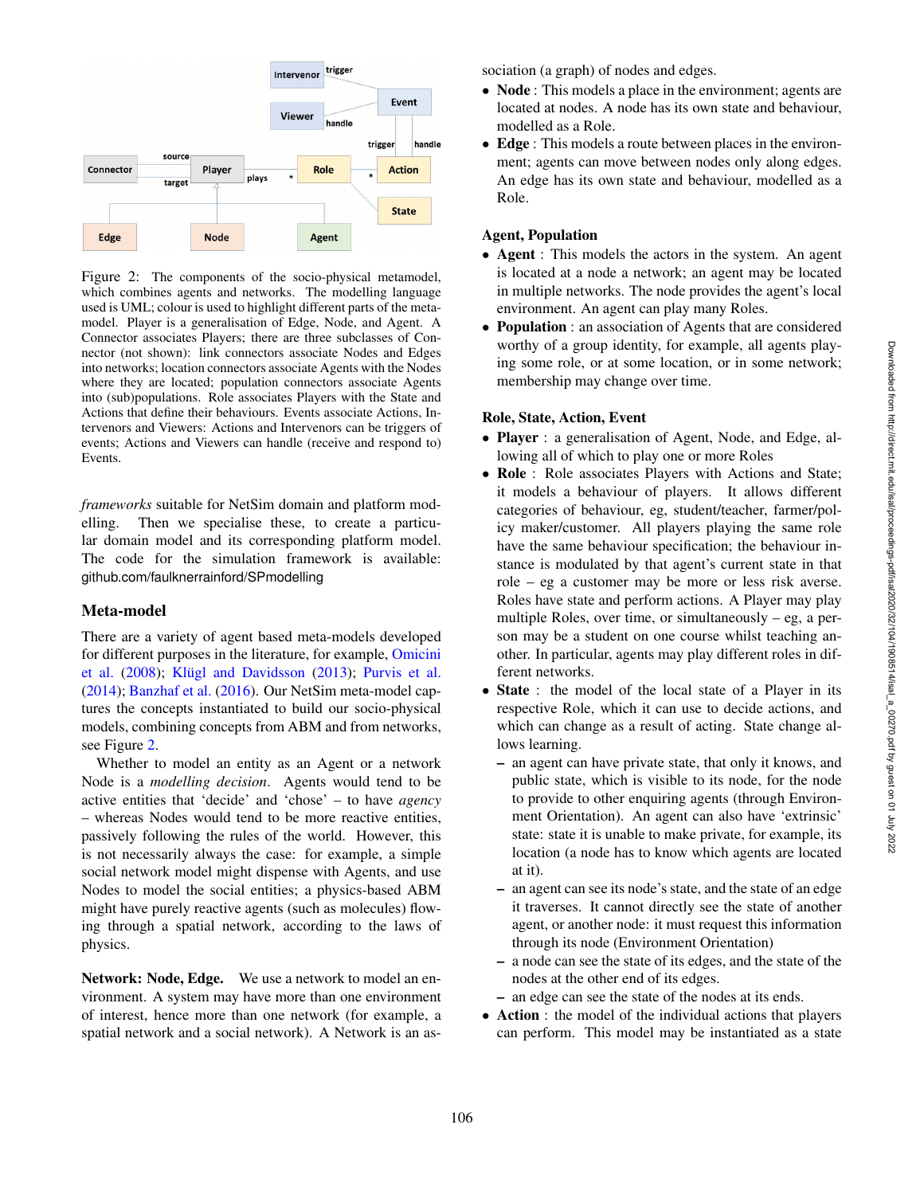

Figure 2: The components of the socio-physical metamodel, which combines agents and networks. The modelling language used is UML; colour is used to highlight different parts of the metamodel. Player is a generalisation of Edge, Node, and Agent. A Connector associates Players; there are three subclasses of Connector (not shown): link connectors associate Nodes and Edges into networks; location connectors associate Agents with the Nodes where they are located; population connectors associate Agents into (sub)populations. Role associates Players with the State and Actions that define their behaviours. Events associate Actions, Intervenors and Viewers: Actions and Intervenors can be triggers of events; Actions and Viewers can handle (receive and respond to) Events.

*frameworks* suitable for NetSim domain and platform modelling. Then we specialise these, to create a particular domain model and its corresponding platform model. The code for the simulation framework is available: github.com/faulknerrainford/SPmodelling

## Meta-model

There are a variety of agent based meta-models developed for different purposes in the literature, for example, Omicini et al. (2008); Klügl and Davidsson (2013); Purvis et al. (2014); Banzhaf et al. (2016). Our NetSim meta-model captures the concepts instantiated to build our socio-physical models, combining concepts from ABM and from networks, see Figure 2 .

Whether to model an entity as an Agent or a network Node is a *modelling decision*. Agents would tend to be active entities that 'decide' and 'chose' – to have *agency* – whereas Nodes would tend to be more reactive entities, passively following the rules of the world. However, this is not necessarily always the case: for example, a simple social network model might dispense with Agents, and use Nodes to model the social entities; a physics-based ABM might have purely reactive agents (such as molecules) flowing through a spatial network, according to the laws of physics.

Network: Node, Edge. We use a network to model an environment. A system may have more than one environment of interest, hence more than one network (for example, a spatial network and a social network). A Network is an association (a graph) of nodes and edges.

- Node : This models a place in the environment; agents are located at nodes. A node has its own state and behaviour, modelled as a Role.
- Edge : This models a route between places in the environment; agents can move between nodes only along edges. An edge has its own state and behaviour, modelled as a Role.

# Agent, Population

- **Agent** : This models the actors in the system. An agent is located at a node a network; an agent may be located in multiple networks. The node provides the agent's local environment. An agent can play many Roles.
- **Population**: an association of Agents that are considered worthy of a group identity, for example, all agents playing some role, or at some location, or in some network; membership may change over time.

## Role, State, Action, Event

- Player : a generalisation of Agent, Node, and Edge, allowing all of which to play one or more Roles
- Role : Role associates Players with Actions and State; it models a behaviour of players. It allows different categories of behaviour, eg, student/teacher, farmer/policy maker/customer. All players playing the same role have the same behaviour specification; the behaviour instance is modulated by that agent's current state in that role – eg a customer may be more or less risk averse. Roles have state and perform actions. A Player may play multiple Roles, over time, or simultaneously  $-$  eg, a person may be a student on one course whilst teaching another. In particular, agents may play different roles in different networks.
- State : the model of the local state of a Player in its respective Role, which it can use to decide actions, and which can change as a result of acting. State change allows learning.
	- an agent can have private state, that only it knows, and public state, which is visible to its node, for the node to provide to other enquiring agents (through Environment Orientation). An agent can also have 'extrinsic' state: state it is unable to make private, for example, its location (a node has to know which agents are located at it).
	- an agent can see its node's state, and the state of an edge it traverses. It cannot directly see the state of another agent, or another node: it must request this information through its node (Environment Orientation)
	- a node can see the state of its edges, and the state of the nodes at the other end of its edges.
	- an edge can see the state of the nodes at its ends.
- **Action**: the model of the individual actions that players can perform. This model may be instantiated as a state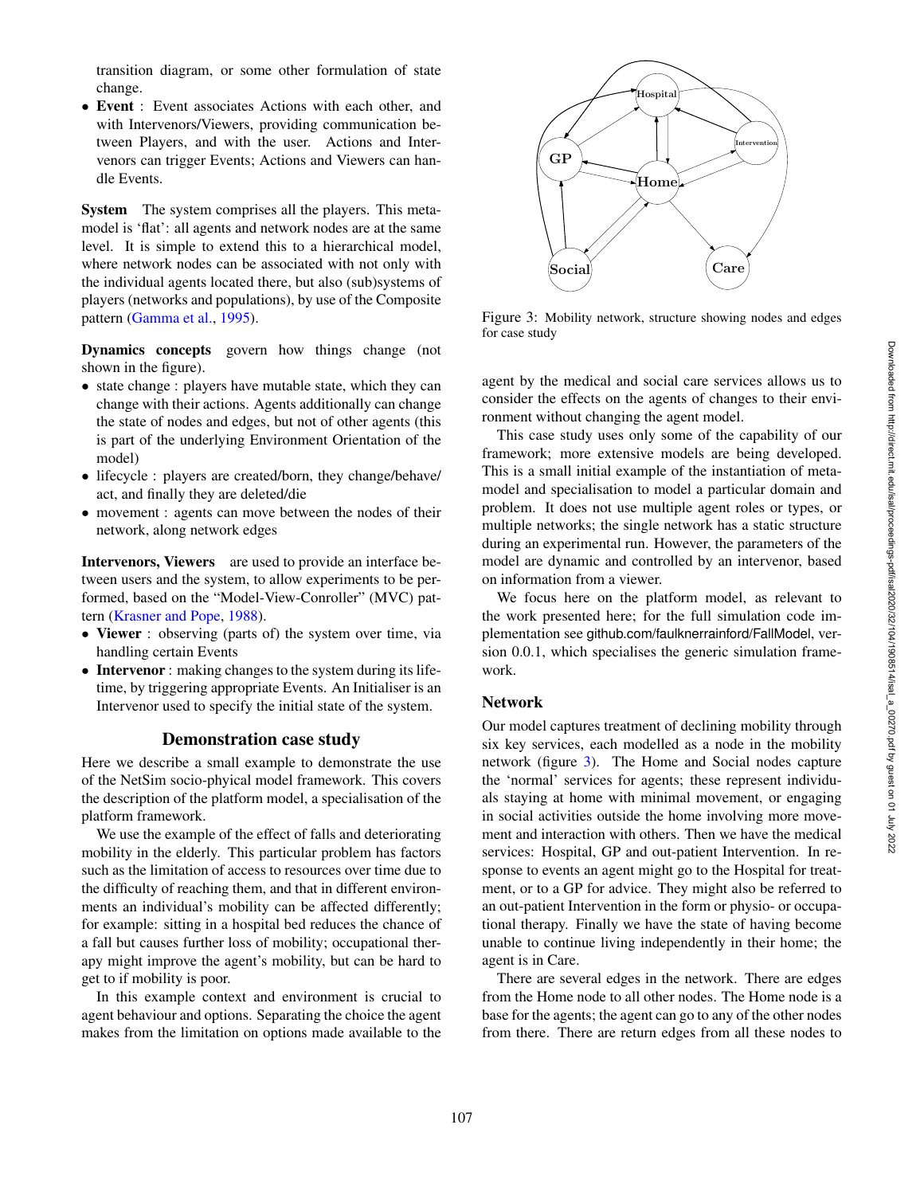transition diagram, or some other formulation of state change.

• Event : Event associates Actions with each other, and with Intervenors/Viewers, providing communication between Players, and with the user. Actions and Intervenors can trigger Events; Actions and Viewers can handle Events.

System The system comprises all the players. This metamodel is 'flat': all agents and network nodes are at the same level. It is simple to extend this to a hierarchical model, where network nodes can be associated with not only with the individual agents located there, but also (sub)systems of players (networks and populations), by use of the Composite pattern (Gamma et al., 1995).

Dynamics concepts govern how things change (not shown in the figure).

- state change : players have mutable state, which they can change with their actions. Agents additionally can change the state of nodes and edges, but not of other agents (this is part of the underlying Environment Orientation of the model)
- lifecycle : players are created/born, they change/behave/ act, and finally they are deleted/die
- movement : agents can move between the nodes of their network, along network edges

Intervenors, Viewers are used to provide an interface between users and the system, to allow experiments to be performed, based on the "Model-View-Conroller" (MVC) pattern (Krasner and Pope, 1988).

- Viewer : observing (parts of) the system over time, via handling certain Events
- Intervenor : making changes to the system during its lifetime, by triggering appropriate Events. An Initialiser is an Intervenor used to specify the initial state of the system.

## Demonstration case study

Here we describe a small example to demonstrate the use of the NetSim socio-phyical model framework. This covers the description of the platform model, a specialisation of the platform framework.

We use the example of the effect of falls and deteriorating mobility in the elderly. This particular problem has factors such as the limitation of access to resources over time due to the difficulty of reaching them, and that in different environments an individual's mobility can be affected differently; for example: sitting in a hospital bed reduces the chance of a fall but causes further loss of mobility; occupational therapy might improve the agent's mobility, but can be hard to get to if mobility is poor.

In this example context and environment is crucial to agent behaviour and options. Separating the choice the agent makes from the limitation on options made available to the



Figure 3: Mobility network, structure showing nodes and edges for case study

agent by the medical and social care services allows us to consider the effects on the agents of changes to their environment without changing the agent model.

This case study uses only some of the capability of our framework; more extensive models are being developed. This is a small initial example of the instantiation of metamodel and specialisation to model a particular domain and problem. It does not use multiple agent roles or types, or multiple networks; the single network has a static structure during an experimental run. However, the parameters of the model are dynamic and controlled by an intervenor, based on information from a viewer.

We focus here on the platform model, as relevant to the work presented here; for the full simulation code implementation see github.com/faulknerrainford/FallModel, version 0.0.1, which specialises the generic simulation framework.

## Network

Our model captures treatment of declining mobility through six key services, each modelled as a node in the mobility network (figure 3). The Home and Social nodes capture the 'normal' services for agents; these represent individuals staying at home with minimal movement, or engaging in social activities outside the home involving more movement and interaction with others. Then we have the medical services: Hospital, GP and out-patient Intervention. In response to events an agent might go to the Hospital for treatment, or to a GP for advice. They might also be referred to an out-patient Intervention in the form or physio- or occupational therapy. Finally we have the state of having become unable to continue living independently in their home; the agent is in Care.

There are several edges in the network. There are edges from the Home node to all other nodes. The Home node is a base for the agents; the agent can go to any of the other nodes from there. There are return edges from all these nodes to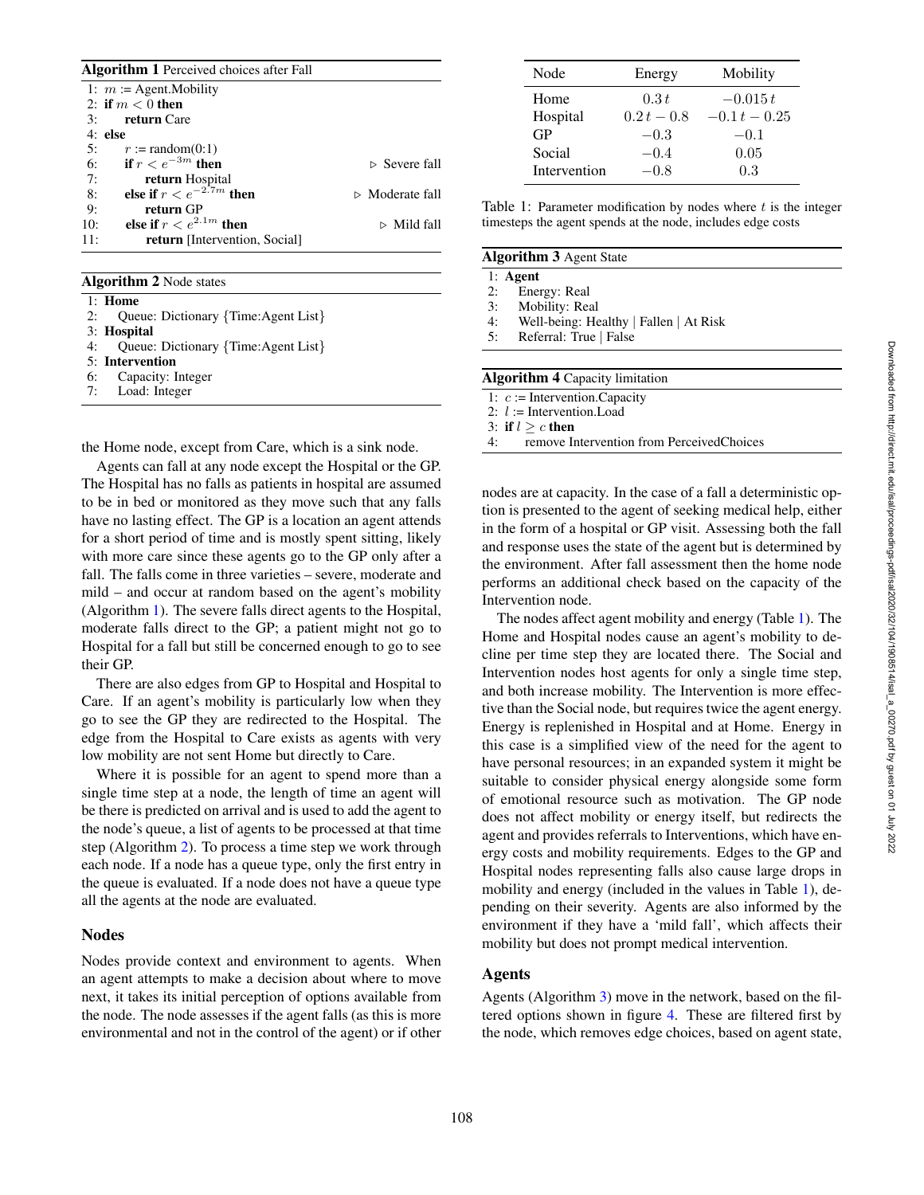| <b>Algorithm 1</b> Perceived choices after Fall |                                |  |  |  |
|-------------------------------------------------|--------------------------------|--|--|--|
| 1: $m :=$ Agent. Mobility                       |                                |  |  |  |
| 2: if $m < 0$ then                              |                                |  |  |  |
| <b>return</b> Care<br>3:                        |                                |  |  |  |
| $4:$ else                                       |                                |  |  |  |
| 5:<br>$r :=$ random $(0:1)$                     |                                |  |  |  |
| if $r < e^{-3m}$ then<br>6:                     | $\triangleright$ Severe fall   |  |  |  |
| 7:<br>return Hospital                           |                                |  |  |  |
| else if $r < e^{-2.7m}$ then<br>8:              | $\triangleright$ Moderate fall |  |  |  |
| 9:<br>return GP                                 |                                |  |  |  |
| else if $r < e^{2.1m}$ then<br>10:              | $\triangleright$ Mild fall     |  |  |  |
| 11:<br><b>return</b> [Intervention, Social]     |                                |  |  |  |

Algorithm 2 Node states

| $1:$ Home                              |
|----------------------------------------|
| 2: Queue: Dictionary {Time:Agent List} |
| 3: Hospital                            |
| 4: Queue: Dictionary {Time:Agent List} |
| 5: Intervention                        |
| 6: Capacity: Integer                   |
| 7: Load: Integer                       |

the Home node, except from Care, which is a sink node.

Agents can fall at any node except the Hospital or the GP. The Hospital has no falls as patients in hospital are assumed to be in bed or monitored as they move such that any falls have no lasting effect. The GP is a location an agent attends for a short period of time and is mostly spent sitting, likely with more care since these agents go to the GP only after a fall. The falls come in three varieties – severe, moderate and mild – and occur at random based on the agent's mobility (Algorithm 1). The severe falls direct agents to the Hospital, moderate falls direct to the GP; a patient might not go to Hospital for a fall but still be concerned enough to go to see their GP.

There are also edges from GP to Hospital and Hospital to Care. If an agent's mobility is particularly low when they go to see the GP they are redirected to the Hospital. The edge from the Hospital to Care exists as agents with very low mobility are not sent Home but directly to Care.

Where it is possible for an agent to spend more than a single time step at a node, the length of time an agent will be there is predicted on arrival and is used to add the agent to the node's queue, a list of agents to be processed at that time step (Algorithm 2). To process a time step we work through each node. If a node has a queue type, only the first entry in the queue is evaluated. If a node does not have a queue type all the agents at the node are evaluated.

## Nodes

Nodes provide context and environment to agents. When an agent attempts to make a decision about where to move next, it takes its initial perception of options available from the node. The node assesses if the agent falls (as this is more environmental and not in the control of the agent) or if other

| Node         | Energy        | Mobility        |
|--------------|---------------|-----------------|
| Home         | 0.3t          | $-0.015t$       |
| Hospital     | $0.2 t - 0.8$ | $-0.1 t - 0.25$ |
| GP           | $-0.3$        | $-0.1$          |
| Social       | $-0.4$        | 0.05            |
| Intervention | $-0.8$        | 0.3             |

Table 1: Parameter modification by nodes where  $t$  is the integer timesteps the agent spends at the node, includes edge costs

## Algorithm 3 Agent State

|    | $1:$ Agent                            |  |
|----|---------------------------------------|--|
| ኅ. | $E_{\text{noscatt}}$ $D_{\text{col}}$ |  |

- 2: Energy: Real<br>3: Mobility: Re Mobility: Real
- 4: Well-being: Healthy | Fallen | At Risk<br>5: Referral: True | False
- Referral: True | False
- 

#### Algorithm 4 Capacity limitation

- 1:  $c :=$  Intervention. Capacity
- 2:  $l :=$  Intervention. Load

3: if  $l \geq c$  then

4: remove Intervention from PerceivedChoices

nodes are at capacity. In the case of a fall a deterministic option is presented to the agent of seeking medical help, either in the form of a hospital or GP visit. Assessing both the fall and response uses the state of the agent but is determined by the environment. After fall assessment then the home node performs an additional check based on the capacity of the Intervention node.

The nodes affect agent mobility and energy (Table 1). The Home and Hospital nodes cause an agent's mobility to decline per time step they are located there. The Social and Intervention nodes host agents for only a single time step, and both increase mobility. The Intervention is more effective than the Social node, but requires twice the agent energy. Energy is replenished in Hospital and at Home. Energy in this case is a simplified view of the need for the agent to have personal resources; in an expanded system it might be suitable to consider physical energy alongside some form of emotional resource such as motivation. The GP node does not affect mobility or energy itself, but redirects the agent and provides referrals to Interventions, which have energy costs and mobility requirements. Edges to the GP and Hospital nodes representing falls also cause large drops in mobility and energy (included in the values in Table 1), depending on their severity. Agents are also informed by the environment if they have a 'mild fall', which affects their mobility but does not prompt medical intervention.

# Agents

Agents (Algorithm 3) move in the network, based on the filtered options shown in figure 4. These are filtered first by the node, which removes edge choices, based on agent state,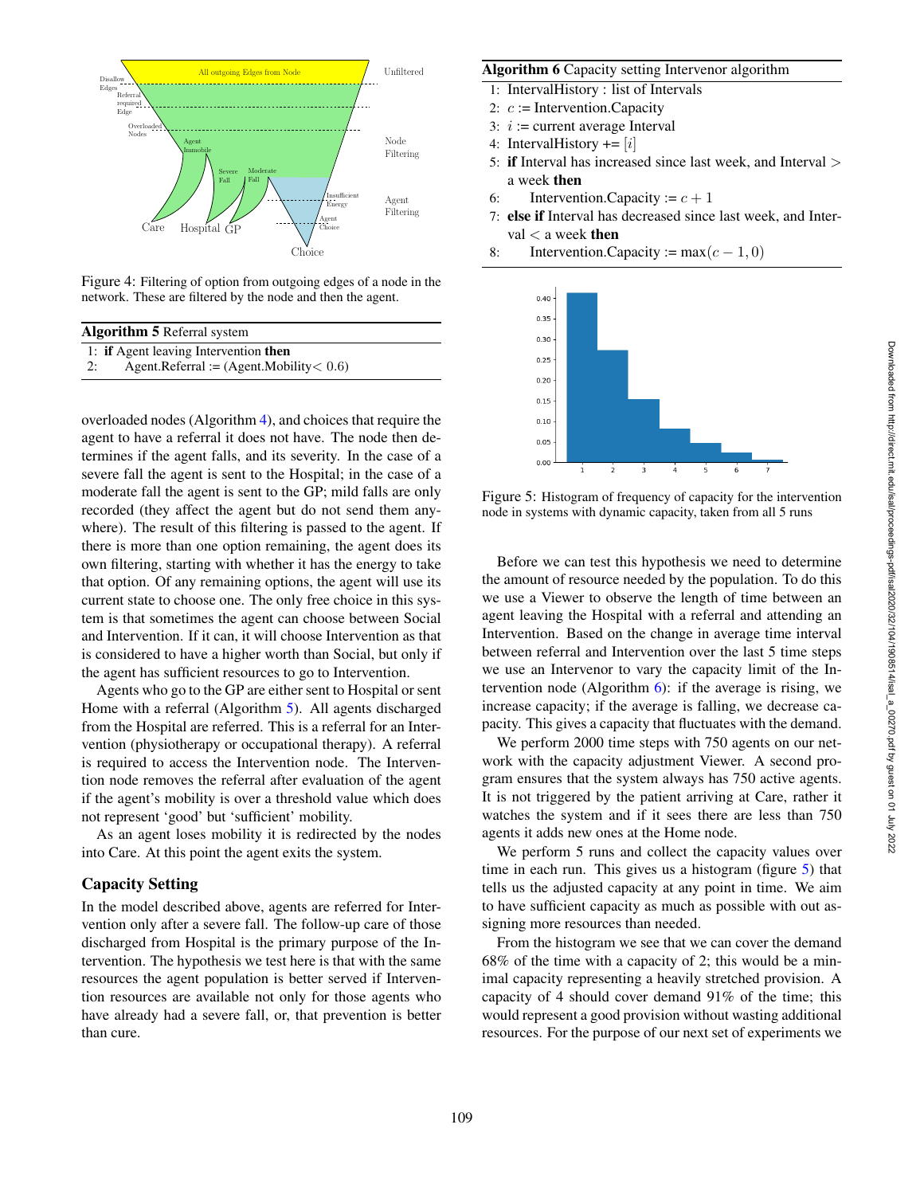

Figure 4: Filtering of option from outgoing edges of a node in the network. These are filtered by the node and then the agent.

| <b>Algorithm 5</b> Referral system               |  |  |  |
|--------------------------------------------------|--|--|--|
| 1: if Agent leaving Intervention then            |  |  |  |
| Agent.Referral := $(Agent.Mobility < 0.6)$<br>2: |  |  |  |

overloaded nodes (Algorithm 4), and choices that require the agent to have a referral it does not have. The node then determines if the agent falls, and its severity. In the case of a severe fall the agent is sent to the Hospital; in the case of a moderate fall the agent is sent to the GP; mild falls are only recorded (they affect the agent but do not send them anywhere). The result of this filtering is passed to the agent. If there is more than one option remaining, the agent does its own filtering, starting with whether it has the energy to take that option. Of any remaining options, the agent will use its current state to choose one. The only free choice in this system is that sometimes the agent can choose between Social and Intervention. If it can, it will choose Intervention as that is considered to have a higher worth than Social, but only if the agent has sufficient resources to go to Intervention.

Agents who go to the GP are either sent to Hospital or sent Home with a referral (Algorithm 5). All agents discharged from the Hospital are referred. This is a referral for an Intervention (physiotherapy or occupational therapy). A referral is required to access the Intervention node. The Intervention node removes the referral after evaluation of the agent if the agent's mobility is over a threshold value which does not represent 'good' but 'sufficient' mobility.

As an agent loses mobility it is redirected by the nodes into Care. At this point the agent exits the system.

# Capacity Setting

In the model described above, agents are referred for Intervention only after a severe fall. The follow-up care of those discharged from Hospital is the primary purpose of the Intervention. The hypothesis we test here is that with the same resources the agent population is better served if Intervention resources are available not only for those agents who have already had a severe fall, or, that prevention is better than cure.

## Algorithm 6 Capacity setting Intervenor algorithm

- 1: IntervalHistory : list of Intervals
- 2:  $c :=$  Intervention. Capacity
- 3:  $i :=$  current average Interval
- 4: IntervalHistory  $+= [i]$
- 5: if Interval has increased since last week, and Interval > a week then
- 6: Intervention. Capacity :=  $c + 1$
- 7: else if Interval has decreased since last week, and Interval  $<$  a week then
- 8: Intervention.Capacity := max $(c-1, 0)$



Figure 5: Histogram of frequency of capacity for the intervention node in systems with dynamic capacity, taken from all 5 runs

Before we can test this hypothesis we need to determine the amount of resource needed by the population. To do this we use a Viewer to observe the length of time between an agent leaving the Hospital with a referral and attending an Intervention. Based on the change in average time interval between referral and Intervention over the last 5 time steps we use an Intervenor to vary the capacity limit of the Intervention node (Algorithm  $6$ ): if the average is rising, we increase capacity; if the average is falling, we decrease capacity. This gives a capacity that fluctuates with the demand.

We perform 2000 time steps with 750 agents on our network with the capacity adjustment Viewer. A second program ensures that the system always has 750 active agents. It is not triggered by the patient arriving at Care, rather it watches the system and if it sees there are less than 750 agents it adds new ones at the Home node.

We perform 5 runs and collect the capacity values over time in each run. This gives us a histogram (figure 5) that tells us the adjusted capacity at any point in time. We aim to have sufficient capacity as much as possible with out assigning more resources than needed.

From the histogram we see that we can cover the demand 68% of the time with a capacity of 2; this would be a minimal capacity representing a heavily stretched provision. A capacity of 4 should cover demand 91% of the time; this would represent a good provision without wasting additional resources. For the purpose of our next set of experiments we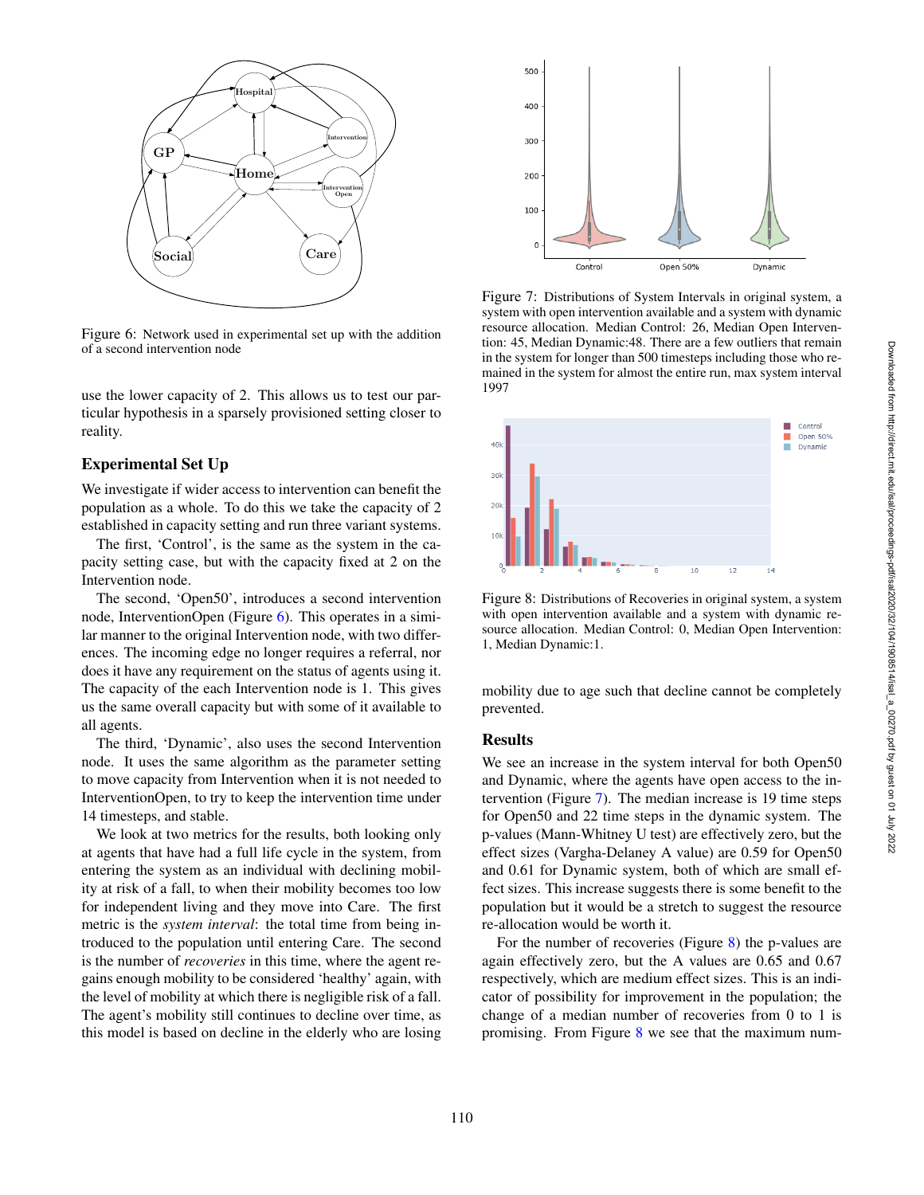

Figure 6: Network used in experimental set up with the addition of a second intervention node

use the lower capacity of 2. This allows us to test our particular hypothesis in a sparsely provisioned setting closer to reality.

# Experimental Set Up

We investigate if wider access to intervention can benefit the population as a whole. To do this we take the capacity of 2 established in capacity setting and run three variant systems.

The first, 'Control', is the same as the system in the capacity setting case, but with the capacity fixed at 2 on the Intervention node.

The second, 'Open50', introduces a second intervention node, InterventionOpen (Figure 6). This operates in a similar manner to the original Intervention node, with two differences. The incoming edge no longer requires a referral, nor does it have any requirement on the status of agents using it. The capacity of the each Intervention node is 1. This gives us the same overall capacity but with some of it available to all agents.

The third, 'Dynamic', also uses the second Intervention node. It uses the same algorithm as the parameter setting to move capacity from Intervention when it is not needed to InterventionOpen, to try to keep the intervention time under 14 timesteps, and stable.

We look at two metrics for the results, both looking only at agents that have had a full life cycle in the system, from entering the system as an individual with declining mobility at risk of a fall, to when their mobility becomes too low for independent living and they move into Care. The first metric is the *system interval*: the total time from being introduced to the population until entering Care. The second is the number of *recoveries* in this time, where the agent regains enough mobility to be considered 'healthy' again, with the level of mobility at which there is negligible risk of a fall. The agent's mobility still continues to decline over time, as this model is based on decline in the elderly who are losing



Figure 7: Distributions of System Intervals in original system, a system with open intervention available and a system with dynamic resource allocation. Median Control: 26, Median Open Intervention: 45, Median Dynamic:48. There are a few outliers that remain in the system for longer than 500 timesteps including those who remained in the system for almost the entire run, max system interval 1997



Figure 8: Distributions of Recoveries in original system, a system with open intervention available and a system with dynamic resource allocation. Median Control: 0, Median Open Intervention: 1, Median Dynamic:1.

mobility due to age such that decline cannot be completely prevented.

## **Results**

We see an increase in the system interval for both Open50 and Dynamic, where the agents have open access to the intervention (Figure 7). The median increase is 19 time steps for Open50 and 22 time steps in the dynamic system. The p-values (Mann-Whitney U test) are effectively zero, but the effect sizes (Vargha-Delaney A value) are 0.59 for Open50 and 0.61 for Dynamic system, both of which are small effect sizes. This increase suggests there is some benefit to the population but it would be a stretch to suggest the resource re-allocation would be worth it.

For the number of recoveries (Figure 8) the p-values are again effectively zero, but the A values are 0.65 and 0.67 respectively, which are medium effect sizes. This is an indicator of possibility for improvement in the population; the change of a median number of recoveries from 0 to 1 is promising. From Figure 8 we see that the maximum num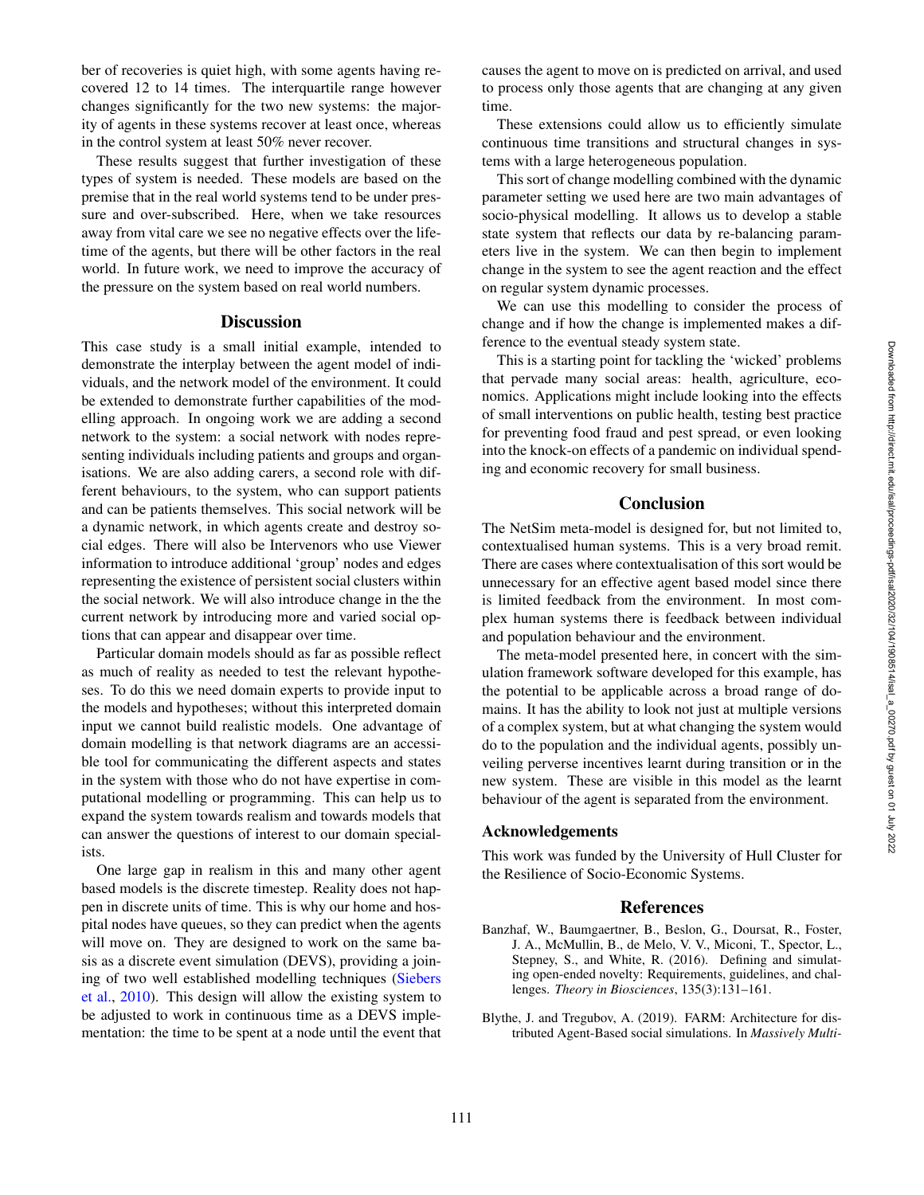ber of recoveries is quiet high, with some agents having recovered 12 to 14 times. The interquartile range however changes significantly for the two new systems: the majority of agents in these systems recover at least once, whereas in the control system at least 50% never recover.

These results suggest that further investigation of these types of system is needed. These models are based on the premise that in the real world systems tend to be under pressure and over-subscribed. Here, when we take resources away from vital care we see no negative effects over the lifetime of the agents, but there will be other factors in the real world. In future work, we need to improve the accuracy of the pressure on the system based on real world numbers.

# **Discussion**

This case study is a small initial example, intended to demonstrate the interplay between the agent model of individuals, and the network model of the environment. It could be extended to demonstrate further capabilities of the modelling approach. In ongoing work we are adding a second network to the system: a social network with nodes representing individuals including patients and groups and organisations. We are also adding carers, a second role with different behaviours, to the system, who can support patients and can be patients themselves. This social network will be a dynamic network, in which agents create and destroy social edges. There will also be Intervenors who use Viewer information to introduce additional 'group' nodes and edges representing the existence of persistent social clusters within the social network. We will also introduce change in the the current network by introducing more and varied social options that can appear and disappear over time.

Particular domain models should as far as possible reflect as much of reality as needed to test the relevant hypotheses. To do this we need domain experts to provide input to the models and hypotheses; without this interpreted domain input we cannot build realistic models. One advantage of domain modelling is that network diagrams are an accessible tool for communicating the different aspects and states in the system with those who do not have expertise in computational modelling or programming. This can help us to expand the system towards realism and towards models that can answer the questions of interest to our domain specialists.

One large gap in realism in this and many other agent based models is the discrete timestep. Reality does not happen in discrete units of time. This is why our home and hospital nodes have queues, so they can predict when the agents will move on. They are designed to work on the same basis as a discrete event simulation (DEVS), providing a joining of two well established modelling techniques (Siebers et al. , 2010). This design will allow the existing system to be adjusted to work in continuous time as a DEVS implementation: the time to be spent at a node until the event that causes the agent to move on is predicted on arrival, and used to process only those agents that are changing at any given time.

These extensions could allow us to efficiently simulate continuous time transitions and structural changes in systems with a large heterogeneous population.

This sort of change modelling combined with the dynamic parameter setting we used here are two main advantages of socio-physical modelling. It allows us to develop a stable state system that reflects our data by re-balancing parameters live in the system. We can then begin to implement change in the system to see the agent reaction and the effect on regular system dynamic processes.

We can use this modelling to consider the process of change and if how the change is implemented makes a difference to the eventual steady system state.

This is a starting point for tackling the 'wicked' problems that pervade many social areas: health, agriculture, economics. Applications might include looking into the effects of small interventions on public health, testing best practice for preventing food fraud and pest spread, or even looking into the knock-on effects of a pandemic on individual spending and economic recovery for small business.

## **Conclusion**

The NetSim meta-model is designed for, but not limited to, contextualised human systems. This is a very broad remit. There are cases where contextualisation of this sort would be unnecessary for an effective agent based model since there is limited feedback from the environment. In most complex human systems there is feedback between individual and population behaviour and the environment.

The meta-model presented here, in concert with the simulation framework software developed for this example, has the potential to be applicable across a broad range of domains. It has the ability to look not just at multiple versions of a complex system, but at what changing the system would do to the population and the individual agents, possibly unveiling perverse incentives learnt during transition or in the new system. These are visible in this model as the learnt behaviour of the agent is separated from the environment.

### Acknowledgements

This work was funded by the University of Hull Cluster for the Resilience of Socio-Economic Systems.

## References

- Banzhaf, W., Baumgaertner, B., Beslon, G., Doursat, R., Foster, J. A., McMullin, B., de Melo, V. V., Miconi, T., Spector, L., Stepney, S., and White, R. (2016). Defining and simulating open-ended novelty: Requirements, guidelines, and challenges. *Theory in Biosciences*, 135(3):131–161.
- Blythe, J. and Tregubov, A. (2019). FARM: Architecture for distributed Agent-Based social simulations. In *Massively Multi-*